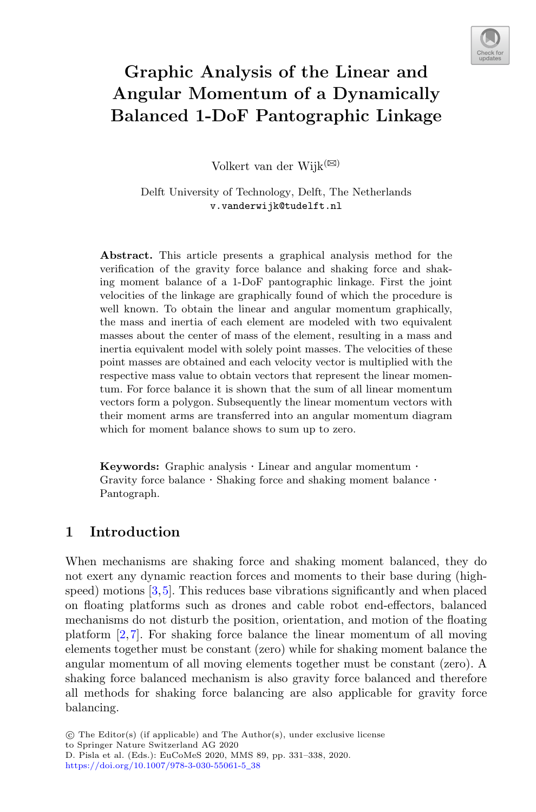

# **Graphic Analysis of the Linear and Angular Momentum of a Dynamically Balanced 1-DoF Pantographic Linkage**

Volkert van der Wijk $^{(\boxtimes)}$ 

Delft University of Technology, Delft, The Netherlands v.vanderwijk@tudelft.nl

**Abstract.** This article presents a graphical analysis method for the verification of the gravity force balance and shaking force and shaking moment balance of a 1-DoF pantographic linkage. First the joint velocities of the linkage are graphically found of which the procedure is well known. To obtain the linear and angular momentum graphically, the mass and inertia of each element are modeled with two equivalent masses about the center of mass of the element, resulting in a mass and inertia equivalent model with solely point masses. The velocities of these point masses are obtained and each velocity vector is multiplied with the respective mass value to obtain vectors that represent the linear momentum. For force balance it is shown that the sum of all linear momentum vectors form a polygon. Subsequently the linear momentum vectors with their moment arms are transferred into an angular momentum diagram which for moment balance shows to sum up to zero.

**Keywords:** Graphic analysis *·* Linear and angular momentum *·* Gravity force balance *·* Shaking force and shaking moment balance *·* Pantograph.

### **1 Introduction**

When mechanisms are shaking force and shaking moment balanced, they do not exert any dynamic reaction forces and moments to their base during (highspeed) motions [\[3](#page-7-0)[,5](#page-7-1)]. This reduces base vibrations significantly and when placed on floating platforms such as drones and cable robot end-effectors, balanced mechanisms do not disturb the position, orientation, and motion of the floating platform [\[2](#page-7-2),[7\]](#page-7-3). For shaking force balance the linear momentum of all moving elements together must be constant (zero) while for shaking moment balance the angular momentum of all moving elements together must be constant (zero). A shaking force balanced mechanism is also gravity force balanced and therefore all methods for shaking force balancing are also applicable for gravity force balancing.

<sup>-</sup>c The Editor(s) (if applicable) and The Author(s), under exclusive license

to Springer Nature Switzerland AG 2020 D. Pisla et al. (Eds.): EuCoMeS 2020, MMS 89, pp. 331–338, 2020.

[https://doi.org/10.1007/978-3-030-55061-5](https://doi.org/10.1007/978-3-030-55061-5_38)\_38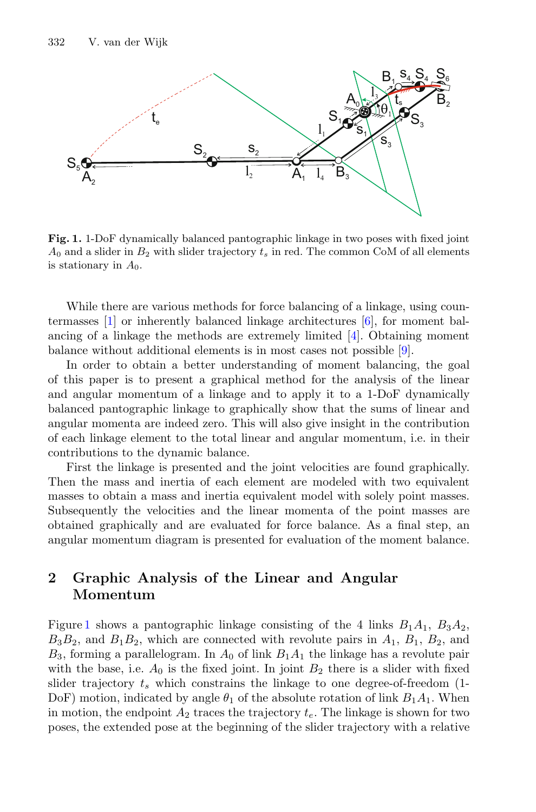

<span id="page-1-0"></span>**Fig. 1.** 1-DoF dynamically balanced pantographic linkage in two poses with fixed joint  $A_0$  and a slider in  $B_2$  with slider trajectory  $t_s$  in red. The common CoM of all elements is stationary in *A*0.

While there are various methods for force balancing of a linkage, using countermasses [\[1\]](#page-7-4) or inherently balanced linkage architectures [\[6](#page-7-5)], for moment balancing of a linkage the methods are extremely limited [\[4\]](#page-7-6). Obtaining moment balance without additional elements is in most cases not possible [\[9](#page-7-7)].

In order to obtain a better understanding of moment balancing, the goal of this paper is to present a graphical method for the analysis of the linear and angular momentum of a linkage and to apply it to a 1-DoF dynamically balanced pantographic linkage to graphically show that the sums of linear and angular momenta are indeed zero. This will also give insight in the contribution of each linkage element to the total linear and angular momentum, i.e. in their contributions to the dynamic balance.

First the linkage is presented and the joint velocities are found graphically. Then the mass and inertia of each element are modeled with two equivalent masses to obtain a mass and inertia equivalent model with solely point masses. Subsequently the velocities and the linear momenta of the point masses are obtained graphically and are evaluated for force balance. As a final step, an angular momentum diagram is presented for evaluation of the moment balance.

## **2 Graphic Analysis of the Linear and Angular Momentum**

Figure [1](#page-1-0) shows a pantographic linkage consisting of the 4 links  $B_1A_1$ ,  $B_3A_2$ ,  $B_3B_2$ , and  $B_1B_2$ , which are connected with revolute pairs in  $A_1$ ,  $B_1$ ,  $B_2$ , and  $B_3$ , forming a parallelogram. In  $A_0$  of link  $B_1A_1$  the linkage has a revolute pair with the base, i.e.  $A_0$  is the fixed joint. In joint  $B_2$  there is a slider with fixed slider trajectory  $t_s$  which constrains the linkage to one degree-of-freedom  $(1$ -DoF) motion, indicated by angle  $\theta_1$  of the absolute rotation of link  $B_1A_1$ . When in motion, the endpoint  $A_2$  traces the trajectory  $t_e$ . The linkage is shown for two poses, the extended pose at the beginning of the slider trajectory with a relative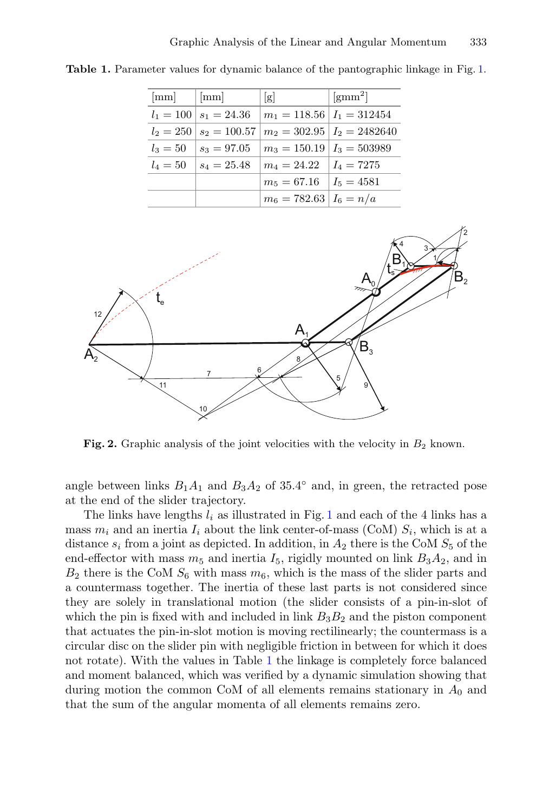<span id="page-2-0"></span>

| mm          | mm                          | g                                | $\rm [gmm^2]$                     |
|-------------|-----------------------------|----------------------------------|-----------------------------------|
|             | $l_1 = 100$   $s_1 = 24.36$ | $m_1 = 118.56$ $I_1 = 312454$    |                                   |
| $l_2 = 250$ | $s_2 = 100.57$              |                                  | $m_2 = 302.95 \mid I_2 = 2482640$ |
| $l_3=50$    | $s_3 = 97.05$               | $m_3 = 150.19 \mid I_3 = 503989$ |                                   |
| $l_4 = 50$  | $s_4 = 25.48$               | $m_4 = 24.22 \quad I_4 = 7275$   |                                   |
|             |                             | $m_5 = 67.16$ $I_5 = 4581$       |                                   |
|             |                             | $m_6 = 782.63 \mid I_6 = n/a$    |                                   |

**Table 1.** Parameter values for dynamic balance of the pantographic linkage in Fig. [1.](#page-1-0)



<span id="page-2-1"></span>**Fig. 2.** Graphic analysis of the joint velocities with the velocity in  $B_2$  known.

angle between links  $B_1A_1$  and  $B_3A_2$  of 35.4 $\circ$  and, in green, the retracted pose at the end of the slider trajectory.

The links have lengths l*<sup>i</sup>* as illustrated in Fig. [1](#page-1-0) and each of the 4 links has a mass  $m_i$  and an inertia  $I_i$  about the link center-of-mass (CoM)  $S_i$ , which is at a distance  $s_i$  from a joint as depicted. In addition, in  $A_2$  there is the CoM  $S_5$  of the end-effector with mass  $m_5$  and inertia  $I_5$ , rigidly mounted on link  $B_3A_2$ , and in  $B_2$  there is the CoM  $S_6$  with mass  $m_6$ , which is the mass of the slider parts and a countermass together. The inertia of these last parts is not considered since they are solely in translational motion (the slider consists of a pin-in-slot of which the pin is fixed with and included in link  $B_3B_2$  and the piston component that actuates the pin-in-slot motion is moving rectilinearly; the countermass is a circular disc on the slider pin with negligible friction in between for which it does not rotate). With the values in Table [1](#page-2-0) the linkage is completely force balanced and moment balanced, which was verified by a dynamic simulation showing that during motion the common CoM of all elements remains stationary in  $A_0$  and that the sum of the angular momenta of all elements remains zero.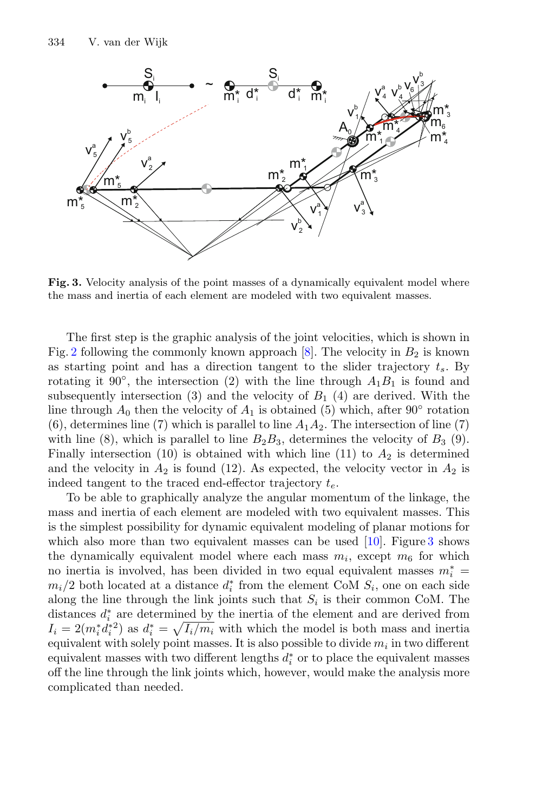

<span id="page-3-0"></span>**Fig. 3.** Velocity analysis of the point masses of a dynamically equivalent model where the mass and inertia of each element are modeled with two equivalent masses.

The first step is the graphic analysis of the joint velocities, which is shown in Fig. [2](#page-2-1) following the commonly known approach  $[8]$ . The velocity in  $B_2$  is known as starting point and has a direction tangent to the slider trajectory t*s*. By rotating it 90<sup>°</sup>, the intersection (2) with the line through  $A_1B_1$  is found and subsequently intersection (3) and the velocity of  $B_1$  (4) are derived. With the line through  $A_0$  then the velocity of  $A_1$  is obtained (5) which, after 90° rotation  $(6)$ , determines line (7) which is parallel to line  $A_1A_2$ . The intersection of line (7) with line (8), which is parallel to line  $B_2B_3$ , determines the velocity of  $B_3$  (9). Finally intersection (10) is obtained with which line (11) to  $A_2$  is determined and the velocity in  $A_2$  is found (12). As expected, the velocity vector in  $A_2$  is indeed tangent to the traced end-effector trajectory t*e*.

To be able to graphically analyze the angular momentum of the linkage, the mass and inertia of each element are modeled with two equivalent masses. This is the simplest possibility for dynamic equivalent modeling of planar motions for which also more than two equivalent masses can be used  $[10]$  $[10]$ . Figure [3](#page-3-0) shows the dynamically equivalent model where each mass  $m_i$ , except  $m_6$  for which no inertia is involved, has been divided in two equal equivalent masses  $m_i^* =$  $m_i/2$  both located at a distance  $d_i^*$  from the element CoM  $S_i$ , one on each side along the line through the link joints such that  $S_i$  is their common CoM. The distances  $d_i^*$  are determined by the inertia of the element and are derived from  $I_i = 2(m_i^* d_i^*{}^2)$  as  $d_i^* = \sqrt{I_i/m_i}$  with which the model is both mass and inertia equivalent with solely point masses. It is also possible to divide m*<sup>i</sup>* in two different equivalent masses with two different lengths  $d_i^*$  or to place the equivalent masses off the line through the link joints which, however, would make the analysis more complicated than needed.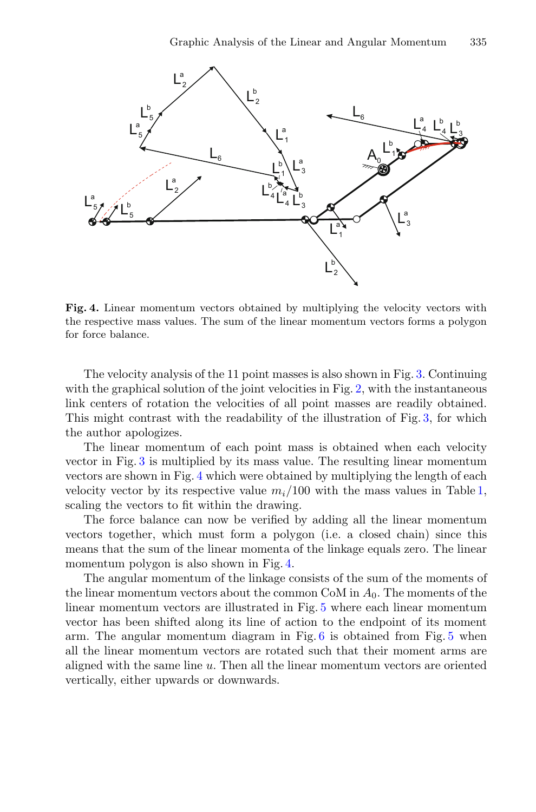

<span id="page-4-0"></span>**Fig. 4.** Linear momentum vectors obtained by multiplying the velocity vectors with the respective mass values. The sum of the linear momentum vectors forms a polygon for force balance.

The velocity analysis of the 11 point masses is also shown in Fig. [3.](#page-3-0) Continuing with the graphical solution of the joint velocities in Fig. [2,](#page-2-1) with the instantaneous link centers of rotation the velocities of all point masses are readily obtained. This might contrast with the readability of the illustration of Fig. [3,](#page-3-0) for which the author apologizes.

The linear momentum of each point mass is obtained when each velocity vector in Fig. [3](#page-3-0) is multiplied by its mass value. The resulting linear momentum vectors are shown in Fig. [4](#page-4-0) which were obtained by multiplying the length of each velocity vector by its respective value  $m_i/100$  with the mass values in Table [1,](#page-2-0) scaling the vectors to fit within the drawing.

The force balance can now be verified by adding all the linear momentum vectors together, which must form a polygon (i.e. a closed chain) since this means that the sum of the linear momenta of the linkage equals zero. The linear momentum polygon is also shown in Fig. [4.](#page-4-0)

The angular momentum of the linkage consists of the sum of the moments of the linear momentum vectors about the common CoM in  $A_0$ . The moments of the linear momentum vectors are illustrated in Fig. [5](#page-5-0) where each linear momentum vector has been shifted along its line of action to the endpoint of its moment arm. The angular momentum diagram in Fig. [6](#page-6-0) is obtained from Fig. [5](#page-5-0) when all the linear momentum vectors are rotated such that their moment arms are aligned with the same line u. Then all the linear momentum vectors are oriented vertically, either upwards or downwards.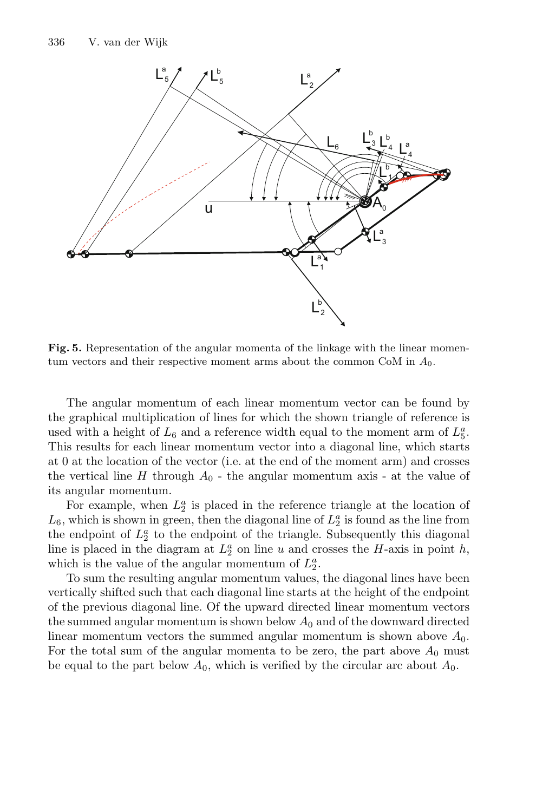

<span id="page-5-0"></span>**Fig. 5.** Representation of the angular momenta of the linkage with the linear momentum vectors and their respective moment arms about the common CoM in *A*0.

The angular momentum of each linear momentum vector can be found by the graphical multiplication of lines for which the shown triangle of reference is used with a height of  $L_6$  and a reference width equal to the moment arm of  $L_5^a$ . This results for each linear momentum vector into a diagonal line, which starts at 0 at the location of the vector (i.e. at the end of the moment arm) and crosses the vertical line  $H$  through  $A_0$  - the angular momentum axis - at the value of its angular momentum.

For example, when  $L_2^a$  is placed in the reference triangle at the location of  $L_6$ , which is shown in green, then the diagonal line of  $L_2^a$  is found as the line from the endpoint of  $L_2^a$  to the endpoint of the triangle. Subsequently this diagonal line is placed in the diagram at  $L_2^a$  on line u and crosses the H-axis in point h, which is the value of the angular momentum of  $L_2^a$ .

To sum the resulting angular momentum values, the diagonal lines have been vertically shifted such that each diagonal line starts at the height of the endpoint of the previous diagonal line. Of the upward directed linear momentum vectors the summed angular momentum is shown below  $A_0$  and of the downward directed linear momentum vectors the summed angular momentum is shown above  $A_0$ . For the total sum of the angular momenta to be zero, the part above  $A_0$  must be equal to the part below  $A_0$ , which is verified by the circular arc about  $A_0$ .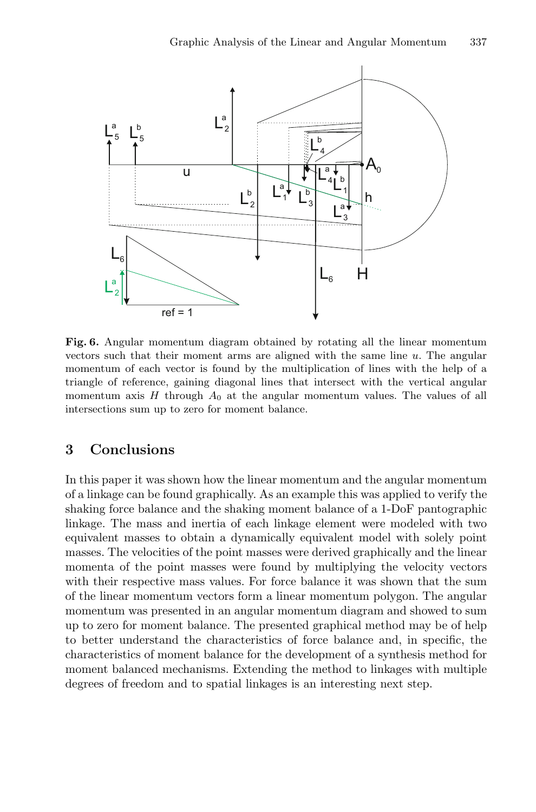

<span id="page-6-0"></span>**Fig. 6.** Angular momentum diagram obtained by rotating all the linear momentum vectors such that their moment arms are aligned with the same line *u*. The angular momentum of each vector is found by the multiplication of lines with the help of a triangle of reference, gaining diagonal lines that intersect with the vertical angular momentum axis  $H$  through  $A_0$  at the angular momentum values. The values of all intersections sum up to zero for moment balance.

#### **3 Conclusions**

In this paper it was shown how the linear momentum and the angular momentum of a linkage can be found graphically. As an example this was applied to verify the shaking force balance and the shaking moment balance of a 1-DoF pantographic linkage. The mass and inertia of each linkage element were modeled with two equivalent masses to obtain a dynamically equivalent model with solely point masses. The velocities of the point masses were derived graphically and the linear momenta of the point masses were found by multiplying the velocity vectors with their respective mass values. For force balance it was shown that the sum of the linear momentum vectors form a linear momentum polygon. The angular momentum was presented in an angular momentum diagram and showed to sum up to zero for moment balance. The presented graphical method may be of help to better understand the characteristics of force balance and, in specific, the characteristics of moment balance for the development of a synthesis method for moment balanced mechanisms. Extending the method to linkages with multiple degrees of freedom and to spatial linkages is an interesting next step.